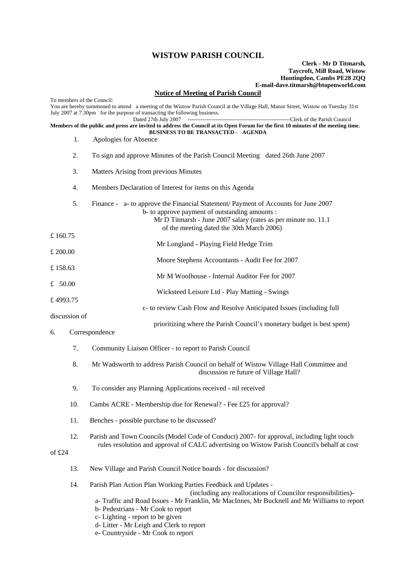## **WISTOW PARISH COUNCIL**

## **Clerk - Mr D Titmarsh, Taycroft, Mill Road, Wistow Huntingdon, Cambs PE28 2QQ E-mail-dave.titmarsh@btopenworld.com**

## **Notice of Meeting of Parish Council**

| To members of the Council:<br>You are hereby summoned to attend a meeting of the Wistow Parish Council at the Village Hall, Manor Street, Wistow on Tuesday 31st<br>July 2007 at 7.30pm for the purpose of transacting the following business. |     |                                                                                                                                                                                                                                                                                                                                                                                           |
|------------------------------------------------------------------------------------------------------------------------------------------------------------------------------------------------------------------------------------------------|-----|-------------------------------------------------------------------------------------------------------------------------------------------------------------------------------------------------------------------------------------------------------------------------------------------------------------------------------------------------------------------------------------------|
| Dated 27th July 2007<br>Members of the public and press are invited to address the Council at its Open Forum for the first 10 minutes of the meeting time.<br><b>BUSINESS TO BE TRANSACTED - AGENDA</b>                                        |     |                                                                                                                                                                                                                                                                                                                                                                                           |
|                                                                                                                                                                                                                                                | 1.  | Apologies for Absence                                                                                                                                                                                                                                                                                                                                                                     |
| 2.                                                                                                                                                                                                                                             |     | To sign and approve Minutes of the Parish Council Meeting dated 26th June 2007                                                                                                                                                                                                                                                                                                            |
|                                                                                                                                                                                                                                                | 3.  | Matters Arising from previous Minutes                                                                                                                                                                                                                                                                                                                                                     |
|                                                                                                                                                                                                                                                | 4.  | Members Declaration of Interest for items on this Agenda                                                                                                                                                                                                                                                                                                                                  |
|                                                                                                                                                                                                                                                | 5.  | Finance - a- to approve the Financial Statement/ Payment of Accounts for June 2007<br>b- to approve payment of outstanding amounts :<br>Mr D Titmarsh - June 2007 salary (rates as per minute no. 11.1)<br>of the meeting dated the 30th March 2006)                                                                                                                                      |
| £160.75                                                                                                                                                                                                                                        |     | Mr Longland - Playing Field Hedge Trim                                                                                                                                                                                                                                                                                                                                                    |
| £ 200.00                                                                                                                                                                                                                                       |     | Moore Stephens Accountants - Audit Fee for 2007                                                                                                                                                                                                                                                                                                                                           |
| £ 158.63                                                                                                                                                                                                                                       |     | Mr M Woolhouse - Internal Auditor Fee for 2007                                                                                                                                                                                                                                                                                                                                            |
| £ $50.00$                                                                                                                                                                                                                                      |     |                                                                                                                                                                                                                                                                                                                                                                                           |
| £4993.75                                                                                                                                                                                                                                       |     | Wicksteed Leisure Ltd - Play Matting - Swings                                                                                                                                                                                                                                                                                                                                             |
| discussion of                                                                                                                                                                                                                                  |     | c- to review Cash Flow and Resolve Anticipated Issues (including full                                                                                                                                                                                                                                                                                                                     |
| 6.                                                                                                                                                                                                                                             |     | prioritizing where the Parish Council's monetary budget is best spent)<br>Correspondence                                                                                                                                                                                                                                                                                                  |
|                                                                                                                                                                                                                                                | 7.  | Community Liaison Officer - to report to Parish Council                                                                                                                                                                                                                                                                                                                                   |
|                                                                                                                                                                                                                                                | 8.  | Mr Wadsworth to address Parish Council on behalf of Wistow Village Hall Committee and<br>discussion re future of Village Hall?                                                                                                                                                                                                                                                            |
|                                                                                                                                                                                                                                                | 9.  | To consider any Planning Applications received - nil received                                                                                                                                                                                                                                                                                                                             |
|                                                                                                                                                                                                                                                | 10. | Cambs ACRE - Membership due for Renewal? - Fee £25 for approval?                                                                                                                                                                                                                                                                                                                          |
|                                                                                                                                                                                                                                                | 11. | Benches - possible purchase to be discussed?                                                                                                                                                                                                                                                                                                                                              |
| of $£24$                                                                                                                                                                                                                                       | 12. | Parish and Town Councils (Model Code of Conduct) 2007- for approval, including light touch<br>rules resolution and approval of CALC advertising on Wistow Parish Council's behalf at cost                                                                                                                                                                                                 |
|                                                                                                                                                                                                                                                | 13. | New Village and Parish Council Notice boards - for discussion?                                                                                                                                                                                                                                                                                                                            |
|                                                                                                                                                                                                                                                | 14. | Parish Plan Action Plan Working Parties Feedback and Updates -<br>(including any reallocations of Councilor responsibilities)-<br>a-Traffic and Road Issues - Mr Franklin, Mr MacInnes, Mr Bucknell and Mr Williams to report<br>b- Pedestrians - Mr Cook to report<br>c- Lighting - report to be given<br>d- Litter - Mr Leigh and Clerk to report<br>e- Countryside - Mr Cook to report |